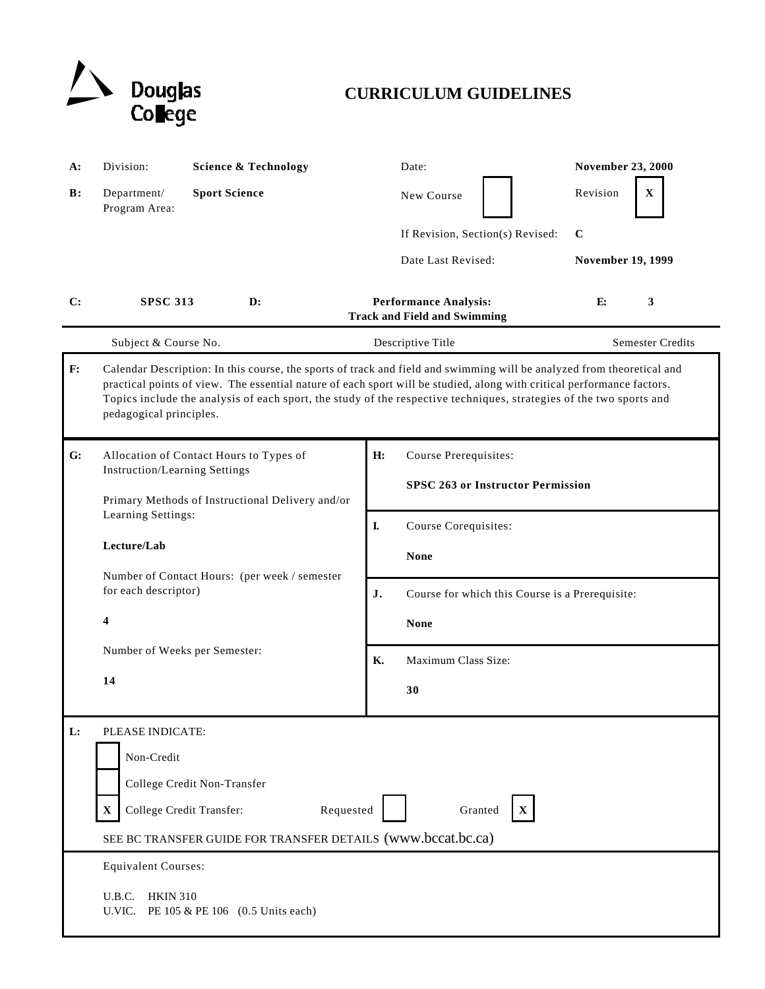

# **CURRICULUM GUIDELINES**

| <b>A:</b>      | Division:                                                                                                                                                                                                                                                                                                                                                                                          | <b>Science &amp; Technology</b>                                                                                                   |    | Date:                                                                | <b>November 23, 2000</b> |  |
|----------------|----------------------------------------------------------------------------------------------------------------------------------------------------------------------------------------------------------------------------------------------------------------------------------------------------------------------------------------------------------------------------------------------------|-----------------------------------------------------------------------------------------------------------------------------------|----|----------------------------------------------------------------------|--------------------------|--|
| $\mathbf{B}$ : | Department/<br>Program Area:                                                                                                                                                                                                                                                                                                                                                                       | <b>Sport Science</b>                                                                                                              |    | New Course                                                           | Revision<br>$\mathbf X$  |  |
|                |                                                                                                                                                                                                                                                                                                                                                                                                    |                                                                                                                                   |    | If Revision, Section(s) Revised:                                     | $\mathbf{C}$             |  |
|                |                                                                                                                                                                                                                                                                                                                                                                                                    |                                                                                                                                   |    | Date Last Revised:                                                   | <b>November 19, 1999</b> |  |
| C:             | <b>SPSC 313</b>                                                                                                                                                                                                                                                                                                                                                                                    | D:                                                                                                                                |    | <b>Performance Analysis:</b><br><b>Track and Field and Swimming</b>  | E:<br>3                  |  |
|                | Subject & Course No.                                                                                                                                                                                                                                                                                                                                                                               |                                                                                                                                   |    | Descriptive Title                                                    | <b>Semester Credits</b>  |  |
| F:             | Calendar Description: In this course, the sports of track and field and swimming will be analyzed from theoretical and<br>practical points of view. The essential nature of each sport will be studied, along with critical performance factors.<br>Topics include the analysis of each sport, the study of the respective techniques, strategies of the two sports and<br>pedagogical principles. |                                                                                                                                   |    |                                                                      |                          |  |
| G:             | <b>Instruction/Learning Settings</b>                                                                                                                                                                                                                                                                                                                                                               | Allocation of Contact Hours to Types of                                                                                           | H: | Course Prerequisites:                                                |                          |  |
|                | Primary Methods of Instructional Delivery and/or<br>Learning Settings:<br>Lecture/Lab                                                                                                                                                                                                                                                                                                              |                                                                                                                                   |    | <b>SPSC 263 or Instructor Permission</b>                             |                          |  |
|                |                                                                                                                                                                                                                                                                                                                                                                                                    |                                                                                                                                   | L  | Course Corequisites:                                                 |                          |  |
|                |                                                                                                                                                                                                                                                                                                                                                                                                    |                                                                                                                                   |    | <b>None</b>                                                          |                          |  |
|                |                                                                                                                                                                                                                                                                                                                                                                                                    | Number of Contact Hours: (per week / semester<br>for each descriptor)<br>$\overline{\mathbf{4}}$<br>Number of Weeks per Semester: |    | J.<br>Course for which this Course is a Prerequisite:<br><b>None</b> |                          |  |
|                |                                                                                                                                                                                                                                                                                                                                                                                                    |                                                                                                                                   |    |                                                                      |                          |  |
|                |                                                                                                                                                                                                                                                                                                                                                                                                    |                                                                                                                                   |    | Maximum Class Size:                                                  |                          |  |
|                | 14                                                                                                                                                                                                                                                                                                                                                                                                 |                                                                                                                                   |    | 30                                                                   |                          |  |
| L:             | PLEASE INDICATE:                                                                                                                                                                                                                                                                                                                                                                                   |                                                                                                                                   |    |                                                                      |                          |  |
|                | Non-Credit                                                                                                                                                                                                                                                                                                                                                                                         |                                                                                                                                   |    |                                                                      |                          |  |
|                |                                                                                                                                                                                                                                                                                                                                                                                                    | College Credit Non-Transfer                                                                                                       |    |                                                                      |                          |  |
|                | College Credit Transfer:<br>$\mathbf X$                                                                                                                                                                                                                                                                                                                                                            | Requested                                                                                                                         |    | Granted<br>$\mathbf X$                                               |                          |  |
|                | SEE BC TRANSFER GUIDE FOR TRANSFER DETAILS (www.bccat.bc.ca)                                                                                                                                                                                                                                                                                                                                       |                                                                                                                                   |    |                                                                      |                          |  |
|                | <b>Equivalent Courses:</b>                                                                                                                                                                                                                                                                                                                                                                         |                                                                                                                                   |    |                                                                      |                          |  |
|                | U.B.C.<br><b>HKIN 310</b><br>U.VIC.<br>PE 105 & PE 106 (0.5 Units each)                                                                                                                                                                                                                                                                                                                            |                                                                                                                                   |    |                                                                      |                          |  |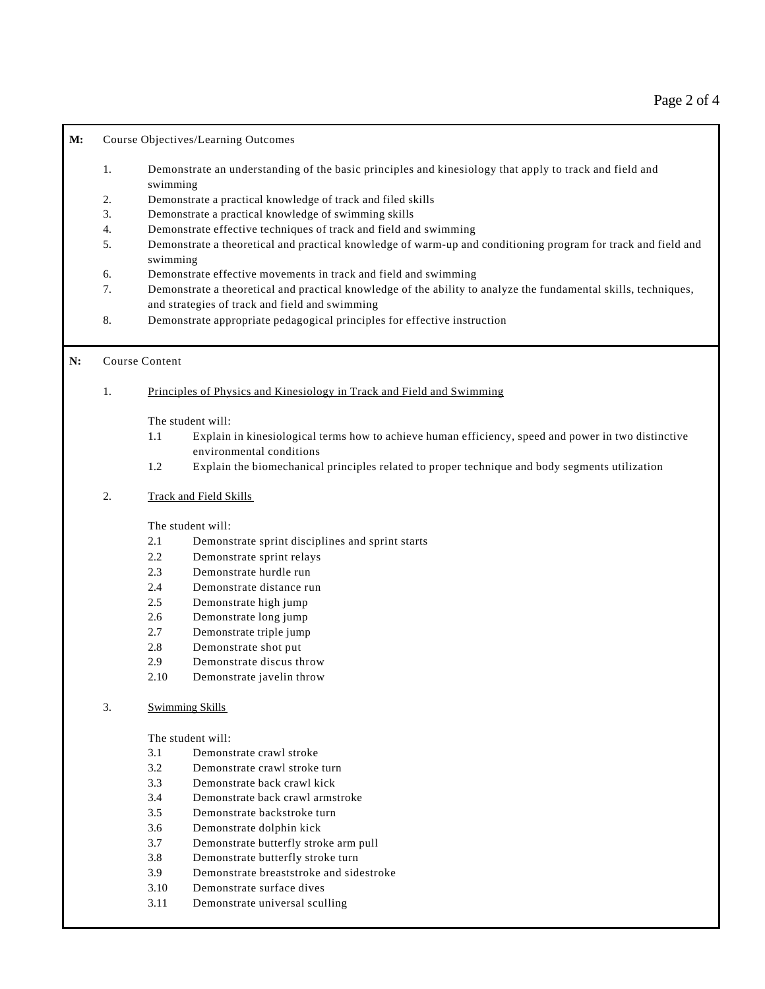## **M:** Course Objectives/Learning Outcomes

- 1. Demonstrate an understanding of the basic principles and kinesiology that apply to track and field and swimming
- 2. Demonstrate a practical knowledge of track and filed skills
- 3. Demonstrate a practical knowledge of swimming skills
- 4. Demonstrate effective techniques of track and field and swimming
- 5. Demonstrate a theoretical and practical knowledge of warm-up and conditioning program for track and field and swimming
- 6. Demonstrate effective movements in track and field and swimming
- 7. Demonstrate a theoretical and practical knowledge of the ability to analyze the fundamental skills, techniques, and strategies of track and field and swimming
- 8. Demonstrate appropriate pedagogical principles for effective instruction

#### **N:** Course Content

## 1. Principles of Physics and Kinesiology in Track and Field and Swimming

The student will:

- 1.1 Explain in kinesiological terms how to achieve human efficiency, speed and power in two distinctive environmental conditions
- 1.2 Explain the biomechanical principles related to proper technique and body segments utilization

# 2. Track and Field Skills

The student will:

- 2.1 Demonstrate sprint disciplines and sprint starts
- 2.2 Demonstrate sprint relays
- 2.3 Demonstrate hurdle run
- 2.4 Demonstrate distance run
- 2.5 Demonstrate high jump
- 2.6 Demonstrate long jump
- 2.7 Demonstrate triple jump
- 2.8 Demonstrate shot put
- 2.9 Demonstrate discus throw
- 2.10 Demonstrate javelin throw
- 3. Swimming Skills

#### The student will:

- 3.1 Demonstrate crawl stroke
- 3.2 Demonstrate crawl stroke turn
- 3.3 Demonstrate back crawl kick
- 3.4 Demonstrate back crawl armstroke
- 3.5 Demonstrate backstroke turn
- 3.6 Demonstrate dolphin kick
- 3.7 Demonstrate butterfly stroke arm pull
- 3.8 Demonstrate butterfly stroke turn
- 3.9 Demonstrate breaststroke and sidestroke
- 3.10 Demonstrate surface dives
- 3.11 Demonstrate universal sculling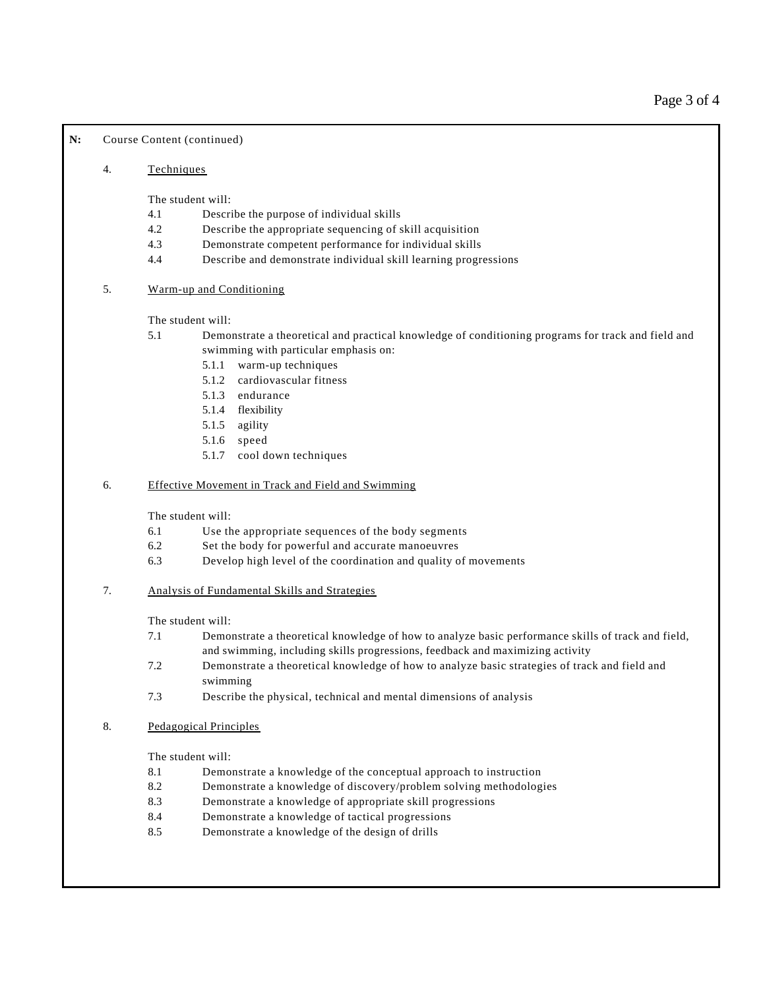## N: Course Content (continued)

### 4. Techniques

The student will:

- 4.1 Describe the purpose of individual skills
- 4.2 Describe the appropriate sequencing of skill acquisition
- 4.3 Demonstrate competent performance for individual skills
- 4.4 Describe and demonstrate individual skill learning progressions
- 5. Warm-up and Conditioning

The student will:

- 5.1 Demonstrate a theoretical and practical knowledge of conditioning programs for track and field and swimming with particular emphasis on:
	- 5.1.1 warm-up techniques
	- 5.1.2 cardiovascular fitness
	- 5.1.3 endurance
	- 5.1.4 flexibility
	- 5.1.5 agility
	- 5.1.6 speed
	- 5.1.7 cool down techniques

## 6. Effective Movement in Track and Field and Swimming

The student will:

- 6.1 Use the appropriate sequences of the body segments
- 6.2 Set the body for powerful and accurate manoeuvres
- 6.3 Develop high level of the coordination and quality of movements
- 7. Analysis of Fundamental Skills and Strategies

The student will:

- 7.1 Demonstrate a theoretical knowledge of how to analyze basic performance skills of track and field, and swimming, including skills progressions, feedback and maximizing activity
- 7.2 Demonstrate a theoretical knowledge of how to analyze basic strategies of track and field and swimming
- 7.3 Describe the physical, technical and mental dimensions of analysis
- 8. Pedagogical Principles

The student will:

- 8.1 Demonstrate a knowledge of the conceptual approach to instruction
- 8.2 Demonstrate a knowledge of discovery/problem solving methodologies
- 8.3 Demonstrate a knowledge of appropriate skill progressions
- 8.4 Demonstrate a knowledge of tactical progressions
- 8.5 Demonstrate a knowledge of the design of drills